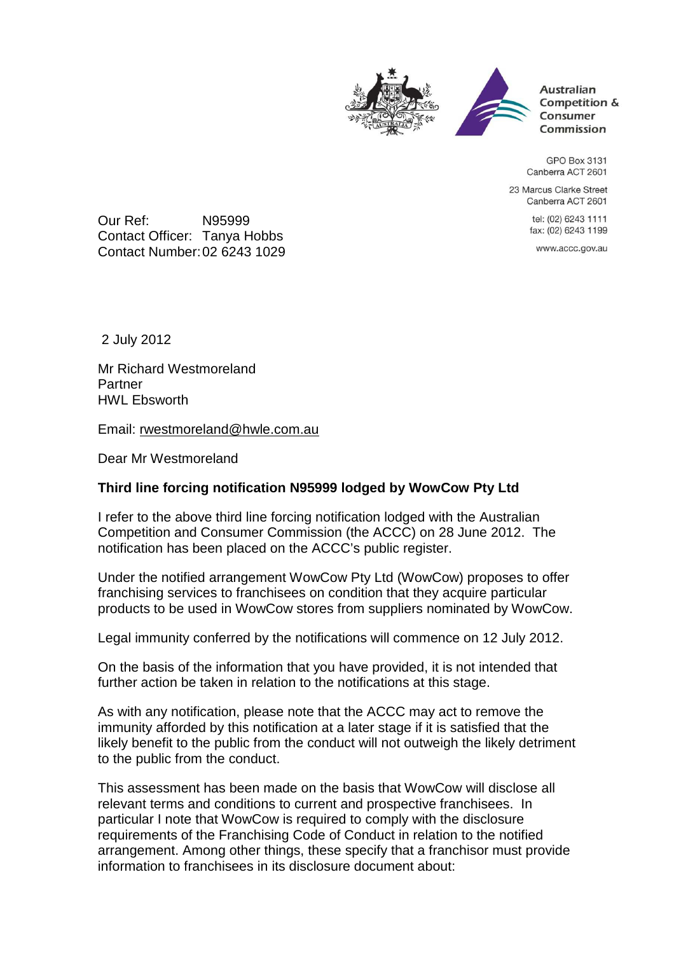



**Australian** Competition & Consumer Commission

GPO Box 3131 Canberra ACT 2601

23 Marcus Clarke Street Canberra ACT 2601

> tel: (02) 6243 1111 fax: (02) 6243 1199

www.accc.gov.au

Our Ref: N95999 Contact Officer: Tanya Hobbs Contact Number: 02 6243 1029

2 July 2012

Mr Richard Westmoreland Partner HWL Ebsworth

Email: rwestmoreland@hwle.com.au

Dear Mr Westmoreland

## **Third line forcing notification N95999 lodged by WowCow Pty Ltd**

I refer to the above third line forcing notification lodged with the Australian Competition and Consumer Commission (the ACCC) on 28 June 2012. The notification has been placed on the ACCC's public register.

Under the notified arrangement WowCow Pty Ltd (WowCow) proposes to offer franchising services to franchisees on condition that they acquire particular products to be used in WowCow stores from suppliers nominated by WowCow.

Legal immunity conferred by the notifications will commence on 12 July 2012.

On the basis of the information that you have provided, it is not intended that further action be taken in relation to the notifications at this stage.

As with any notification, please note that the ACCC may act to remove the immunity afforded by this notification at a later stage if it is satisfied that the likely benefit to the public from the conduct will not outweigh the likely detriment to the public from the conduct.

This assessment has been made on the basis that WowCow will disclose all relevant terms and conditions to current and prospective franchisees. In particular I note that WowCow is required to comply with the disclosure requirements of the Franchising Code of Conduct in relation to the notified arrangement. Among other things, these specify that a franchisor must provide information to franchisees in its disclosure document about: